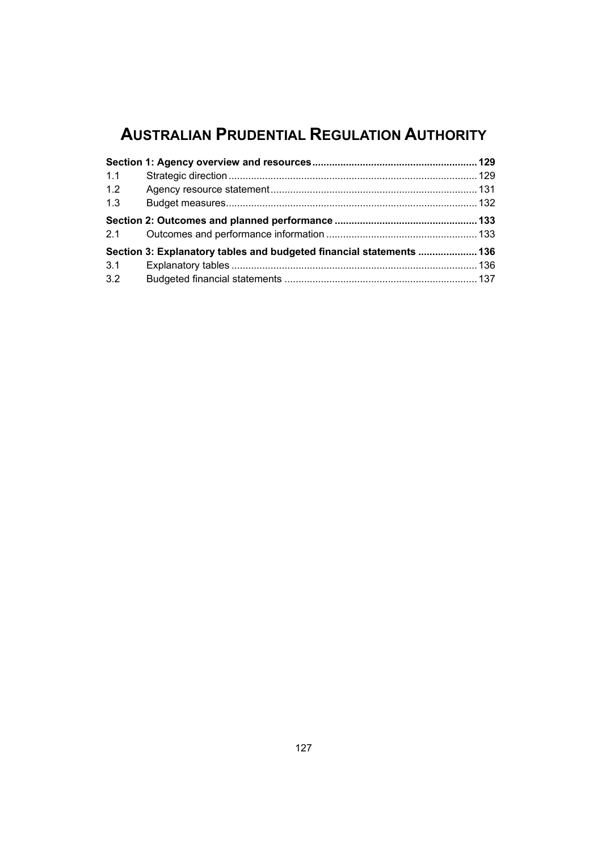## **AUSTRALIAN PRUDENTIAL REGULATION AUTHORITY**

| 1.1 |                                                                      |  |
|-----|----------------------------------------------------------------------|--|
| 1.2 |                                                                      |  |
| 1.3 |                                                                      |  |
|     |                                                                      |  |
|     | Section 3: Explanatory tables and budgeted financial statements  136 |  |
| 3.1 |                                                                      |  |
| 3.2 |                                                                      |  |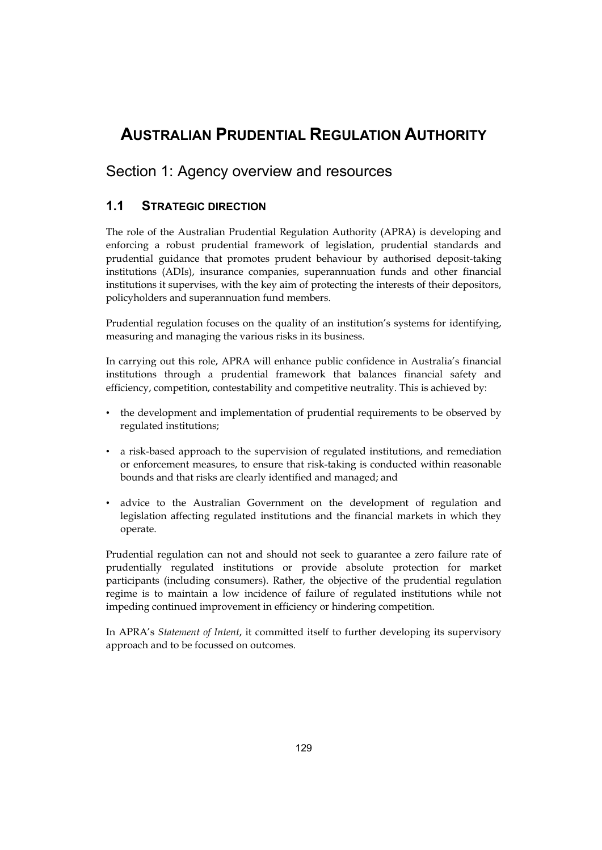## <span id="page-2-0"></span>**AUSTRALIAN PRUDENTIAL REGULATION AUTHORITY**

## Section 1: Agency overview and resources

## **1.1 STRATEGIC DIRECTION**

The role of the Australian Prudential Regulation Authority (APRA) is developing and enforcing a robust prudential framework of legislation, prudential standards and prudential guidance that promotes prudent behaviour by authorised deposit-taking institutions (ADIs), insurance companies, superannuation funds and other financial institutions it supervises, with the key aim of protecting the interests of their depositors, policyholders and superannuation fund members.

Prudential regulation focuses on the quality of an institution's systems for identifying, measuring and managing the various risks in its business.

In carrying out this role, APRA will enhance public confidence in Australia's financial institutions through a prudential framework that balances financial safety and efficiency, competition, contestability and competitive neutrality. This is achieved by:

- the development and implementation of prudential requirements to be observed by regulated institutions;
- • a risk-based approach to the supervision of regulated institutions, and remediation or enforcement measures, to ensure that risk-taking is conducted within reasonable bounds and that risks are clearly identified and managed; and
- • advice to the Australian Government on the development of regulation and legislation affecting regulated institutions and the financial markets in which they operate.

Prudential regulation can not and should not seek to guarantee a zero failure rate of prudentially regulated institutions or provide absolute protection for market participants (including consumers). Rather, the objective of the prudential regulation regime is to maintain a low incidence of failure of regulated institutions while not impeding continued improvement in efficiency or hindering competition.

In APRA's *Statement of Intent*, it committed itself to further developing its supervisory approach and to be focussed on outcomes.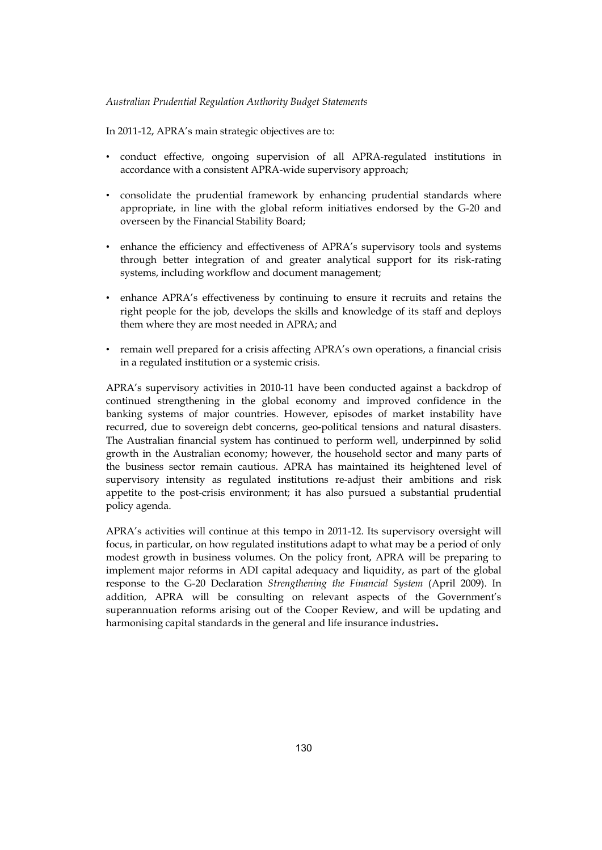In 2011-12, APRA's main strategic objectives are to:

- • conduct effective, ongoing supervision of all APRA-regulated institutions in accordance with a consistent APRA-wide supervisory approach;
- overseen by the Financial Stability Board; • consolidate the prudential framework by enhancing prudential standards where appropriate, in line with the global reform initiatives endorsed by the G-20 and
- • enhance the efficiency and effectiveness of APRA's supervisory tools and systems through better integration of and greater analytical support for its risk-rating systems, including workflow and document management;
- enhance APRA's effectiveness by continuing to ensure it recruits and retains the right people for the job, develops the skills and knowledge of its staff and deploys them where they are most needed in APRA; and
- • remain well prepared for a crisis affecting APRA's own operations, a financial crisis in a regulated institution or a systemic crisis.

 the business sector remain cautious. APRA has maintained its heightened level of APRA's supervisory activities in 2010-11 have been conducted against a backdrop of continued strengthening in the global economy and improved confidence in the banking systems of major countries. However, episodes of market instability have recurred, due to sovereign debt concerns, geo-political tensions and natural disasters. The Australian financial system has continued to perform well, underpinned by solid growth in the Australian economy; however, the household sector and many parts of supervisory intensity as regulated institutions re-adjust their ambitions and risk appetite to the post-crisis environment; it has also pursued a substantial prudential policy agenda.

 harmonising capital standards in the general and life insurance industries. APRA's activities will continue at this tempo in 2011-12. Its supervisory oversight will focus, in particular, on how regulated institutions adapt to what may be a period of only modest growth in business volumes. On the policy front, APRA will be preparing to implement major reforms in ADI capital adequacy and liquidity, as part of the global response to the G-20 Declaration *Strengthening the Financial System* (April 2009). In addition, APRA will be consulting on relevant aspects of the Government's superannuation reforms arising out of the Cooper Review, and will be updating and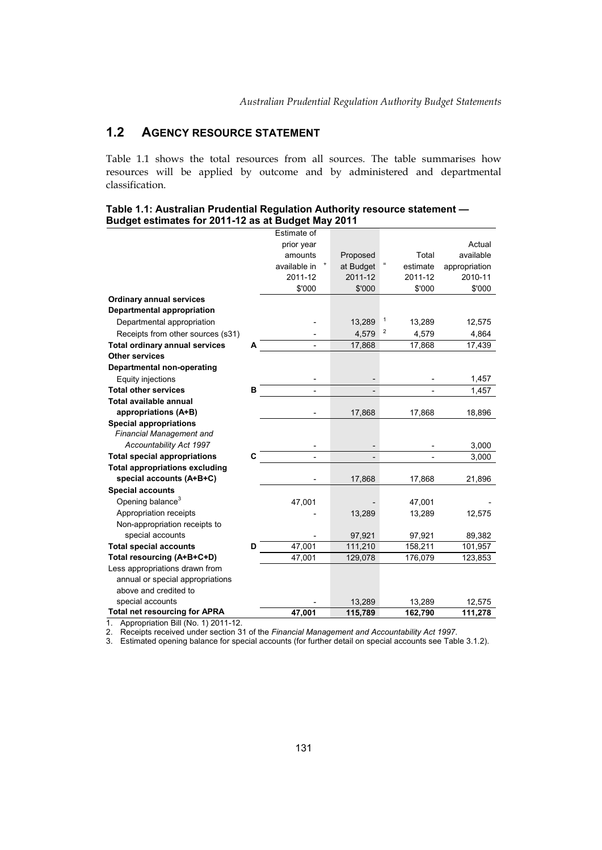## **1.2 AGENCY RESOURCE STATEMENT**

Table 1.1 shows the total resources from all sources. The table summarises how resources will be applied by outcome and by administered and departmental classification.

| Table 1.1: Australian Prudential Regulation Authority resource statement $\boldsymbol{-}$ |  |
|-------------------------------------------------------------------------------------------|--|
| Budget estimates for 2011-12 as at Budget May 2011                                        |  |

|                                       |   | Estimate of  |           |   |          |               |
|---------------------------------------|---|--------------|-----------|---|----------|---------------|
|                                       |   | prior year   |           |   |          | Actual        |
|                                       |   | amounts      | Proposed  |   | Total    | available     |
|                                       |   | available in | at Budget |   | estimate | appropriation |
|                                       |   | 2011-12      | 2011-12   |   | 2011-12  | 2010-11       |
|                                       |   | \$'000       | \$'000    |   | \$'000   | \$'000        |
| <b>Ordinary annual services</b>       |   |              |           |   |          |               |
| <b>Departmental appropriation</b>     |   |              |           |   |          |               |
| Departmental appropriation            |   |              | 13,289    | 1 | 13,289   | 12,575        |
| Receipts from other sources (s31)     |   |              | 4,579     | 2 | 4,579    | 4,864         |
| <b>Total ordinary annual services</b> | A |              | 17,868    |   | 17,868   | 17,439        |
| <b>Other services</b>                 |   |              |           |   |          |               |
| <b>Departmental non-operating</b>     |   |              |           |   |          |               |
| Equity injections                     |   |              |           |   |          | 1,457         |
| <b>Total other services</b>           | B |              |           |   |          | 1,457         |
| Total available annual                |   |              |           |   |          |               |
| appropriations (A+B)                  |   |              | 17,868    |   | 17,868   | 18,896        |
| <b>Special appropriations</b>         |   |              |           |   |          |               |
| <b>Financial Management and</b>       |   |              |           |   |          |               |
| Accountability Act 1997               |   |              |           |   |          | 3,000         |
| <b>Total special appropriations</b>   | C |              |           |   |          | 3,000         |
| <b>Total appropriations excluding</b> |   |              |           |   |          |               |
| special accounts (A+B+C)              |   |              | 17,868    |   | 17,868   | 21,896        |
| <b>Special accounts</b>               |   |              |           |   |          |               |
| Opening balance <sup>3</sup>          |   | 47,001       |           |   | 47,001   |               |
| Appropriation receipts                |   |              | 13,289    |   | 13,289   | 12,575        |
| Non-appropriation receipts to         |   |              |           |   |          |               |
| special accounts                      |   |              | 97,921    |   | 97,921   | 89,382        |
| <b>Total special accounts</b>         | D | 47,001       | 111,210   |   | 158,211  | 101,957       |
| Total resourcing (A+B+C+D)            |   | 47,001       | 129,078   |   | 176,079  | 123,853       |
| Less appropriations drawn from        |   |              |           |   |          |               |
| annual or special appropriations      |   |              |           |   |          |               |
| above and credited to                 |   |              |           |   |          |               |
| special accounts                      |   |              | 13,289    |   | 13,289   | 12,575        |
| <b>Total net resourcing for APRA</b>  |   | 47,001       | 115,789   |   | 162,790  | 111,278       |

1. Appropriation Bill (No. 1) 2011-12.

2. Receipts received under section 31 of the *Financial Management and Accountability Act 1997*.

3. Estimated opening balance for special accounts (for further detail on special accounts see Table 3.1.2).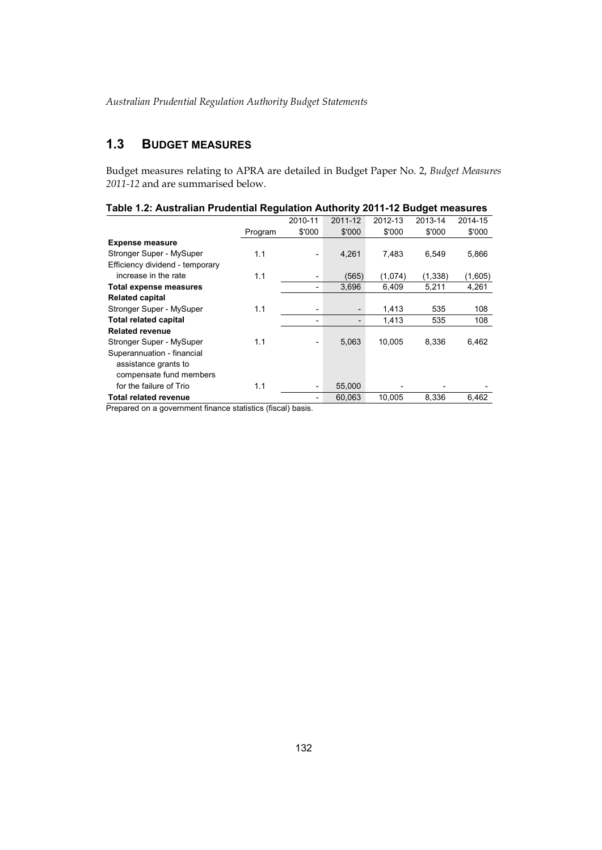## **1.3 BUDGET MEASURES**

Budget measures relating to APRA are detailed in Budget Paper No. 2, *Budget Measures 2011-12* and are summarised below.

|                                 |                               | 2010-11  | 2011-12 | 2012-13 | 2013-14  | 2014-15 |
|---------------------------------|-------------------------------|----------|---------|---------|----------|---------|
|                                 | Program                       | \$'000   | \$'000  | \$'000  | \$'000   | \$'000  |
| <b>Expense measure</b>          |                               |          |         |         |          |         |
| Stronger Super - MySuper        | 1.1                           |          | 4,261   | 7,483   | 6,549    | 5,866   |
| Efficiency dividend - temporary |                               |          |         |         |          |         |
| increase in the rate            | 1.1                           |          | (565)   | (1,074) | (1, 338) | (1,605) |
| Total expense measures          |                               |          | 3,696   | 6,409   | 5,211    | 4,261   |
| <b>Related capital</b>          |                               |          |         |         |          |         |
| Stronger Super - MySuper        | 1.1                           |          |         | 1,413   | 535      | 108     |
| <b>Total related capital</b>    |                               |          |         | 1.413   | 535      | 108     |
| <b>Related revenue</b>          |                               |          |         |         |          |         |
| Stronger Super - MySuper        | 1.1                           |          | 5,063   | 10.005  | 8.336    | 6,462   |
| Superannuation - financial      |                               |          |         |         |          |         |
| assistance grants to            |                               |          |         |         |          |         |
| compensate fund members         |                               |          |         |         |          |         |
| for the failure of Trio         | 1.1                           |          | 55.000  |         |          |         |
| <b>Total related revenue</b>    |                               |          | 60.063  | 10,005  | 8,336    | 6,462   |
| $\cdot$ $\cdot$                 | $\overline{\phantom{a}}$<br>. | $\cdots$ |         |         |          |         |

#### **Table 1.2: Australian Prudential Regulation Authority 2011-12 Budget measures**

Prepared on a government finance statistics (fiscal) basis.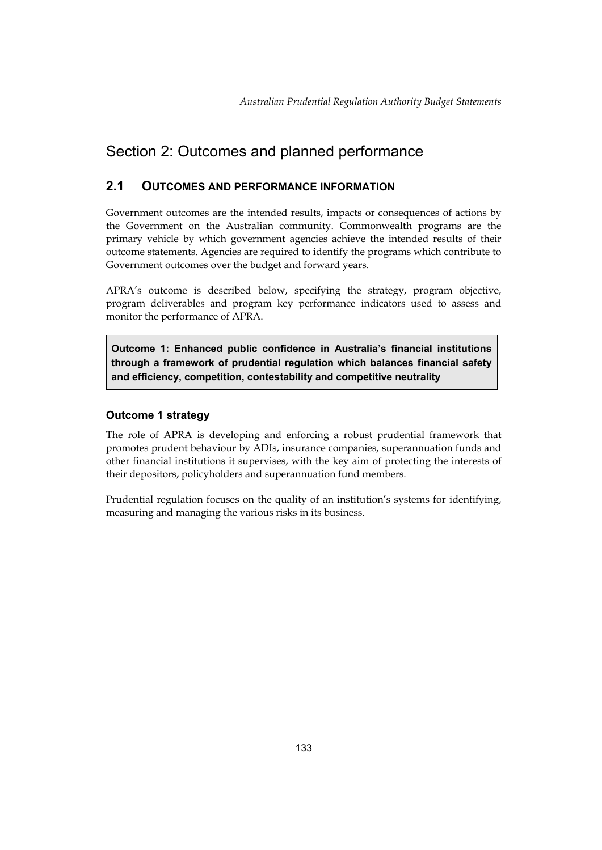## <span id="page-6-0"></span>Section 2: Outcomes and planned performance

## **2.1 OUTCOMES AND PERFORMANCE INFORMATION**

Government outcomes are the intended results, impacts or consequences of actions by the Government on the Australian community. Commonwealth programs are the primary vehicle by which government agencies achieve the intended results of their outcome statements. Agencies are required to identify the programs which contribute to Government outcomes over the budget and forward years.

APRA's outcome is described below, specifying the strategy, program objective, program deliverables and program key performance indicators used to assess and monitor the performance of APRA.

**Outcome 1: Enhanced public confidence in Australia's financial institutions through a framework of prudential regulation which balances financial safety and efficiency, competition, contestability and competitive neutrality** 

## **Outcome 1 strategy**

The role of APRA is developing and enforcing a robust prudential framework that promotes prudent behaviour by ADIs, insurance companies, superannuation funds and other financial institutions it supervises, with the key aim of protecting the interests of their depositors, policyholders and superannuation fund members.

Prudential regulation focuses on the quality of an institution's systems for identifying, measuring and managing the various risks in its business.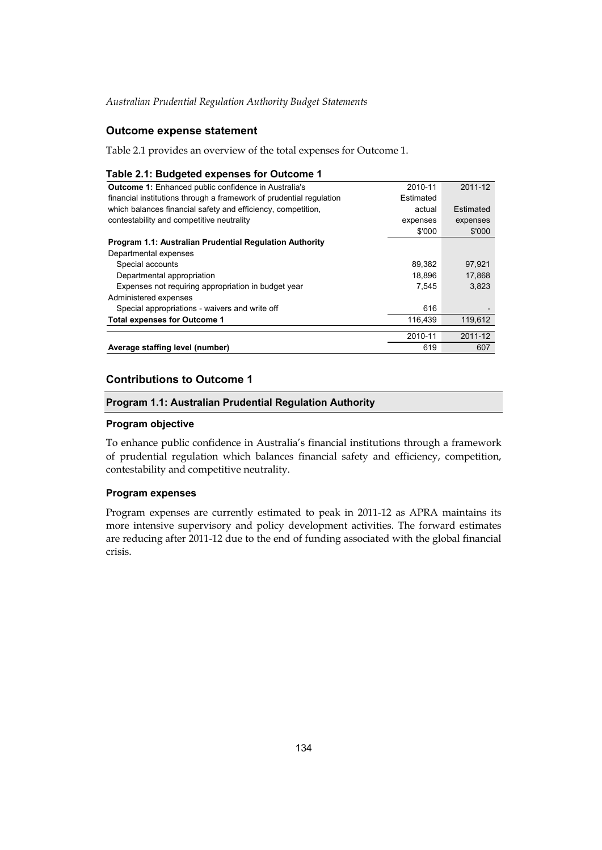## **Outcome expense statement**

Table 2.1 provides an overview of the total expenses for Outcome 1.

#### **Table 2.1: Budgeted expenses for Outcome 1**

| <b>Outcome 1:</b> Enhanced public confidence in Australia's         | 2010-11   | 2011-12   |
|---------------------------------------------------------------------|-----------|-----------|
| financial institutions through a framework of prudential regulation | Estimated |           |
| which balances financial safety and efficiency, competition,        | actual    | Estimated |
| contestability and competitive neutrality                           | expenses  | expenses  |
|                                                                     | \$'000    | \$'000    |
| Program 1.1: Australian Prudential Regulation Authority             |           |           |
| Departmental expenses                                               |           |           |
| Special accounts                                                    | 89,382    | 97,921    |
| Departmental appropriation                                          | 18.896    | 17.868    |
| Expenses not requiring appropriation in budget year                 | 7.545     | 3.823     |
| Administered expenses                                               |           |           |
| Special appropriations - waivers and write off                      | 616       |           |
| <b>Total expenses for Outcome 1</b>                                 | 116.439   | 119.612   |
|                                                                     | 2010-11   | 2011-12   |
|                                                                     |           |           |
| Average staffing level (number)                                     | 619       | 607       |

## **Contributions to Outcome 1**

#### **Program 1.1: Australian Prudential Regulation Authority**

#### **Program objective**

To enhance public confidence in Australia's financial institutions through a framework of prudential regulation which balances financial safety and efficiency, competition, contestability and competitive neutrality.

#### **Program expenses**

Program expenses are currently estimated to peak in 2011-12 as APRA maintains its more intensive supervisory and policy development activities. The forward estimates are reducing after 2011-12 due to the end of funding associated with the global financial crisis.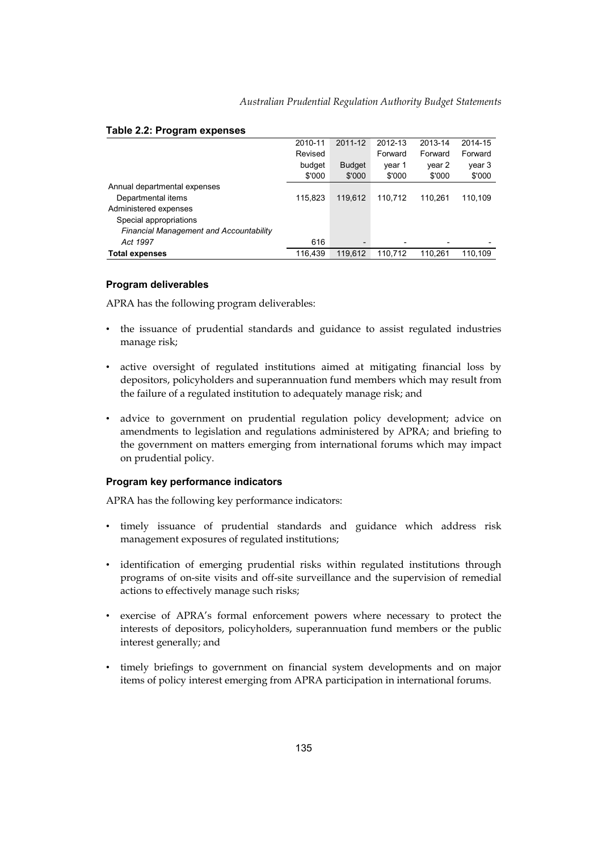|                                                | 2010-11 | 2011-12                  | 2012-13 | 2013-14                  | 2014-15 |
|------------------------------------------------|---------|--------------------------|---------|--------------------------|---------|
|                                                | Revised |                          | Forward | Forward                  | Forward |
|                                                | budget  | <b>Budget</b>            | year 1  | year 2                   | year 3  |
|                                                | \$'000  | \$'000                   | \$'000  | \$'000                   | \$'000  |
| Annual departmental expenses                   |         |                          |         |                          |         |
| Departmental items                             | 115.823 | 119.612                  | 110.712 | 110.261                  | 110,109 |
| Administered expenses                          |         |                          |         |                          |         |
| Special appropriations                         |         |                          |         |                          |         |
| <b>Financial Management and Accountability</b> |         |                          |         |                          |         |
| Act 1997                                       | 616     | $\overline{\phantom{0}}$ |         | $\overline{\phantom{0}}$ |         |
| <b>Total expenses</b>                          | 116.439 | 119.612                  | 110.712 | 110.261                  | 110.109 |

#### **Table 2.2: Program expenses**

#### **Program deliverables**

APRA has the following program deliverables:

- • the issuance of prudential standards and guidance to assist regulated industries manage risk;
- depositors, policyholders and superannuation fund members which may result from active oversight of regulated institutions aimed at mitigating financial loss by the failure of a regulated institution to adequately manage risk; and
- advice to government on prudential regulation policy development; advice on amendments to legislation and regulations administered by APRA; and briefing to the government on matters emerging from international forums which may impact on prudential policy.

#### **Program key performance indicators**

APRA has the following key performance indicators:

- • timely issuance of prudential standards and guidance which address risk management exposures of regulated institutions;
- identification of emerging prudential risks within regulated institutions through programs of on-site visits and off-site surveillance and the supervision of remedial actions to effectively manage such risks;
- • exercise of APRA's formal enforcement powers where necessary to protect the interests of depositors, policyholders, superannuation fund members or the public interest generally; and
- timely briefings to government on financial system developments and on major items of policy interest emerging from APRA participation in international forums.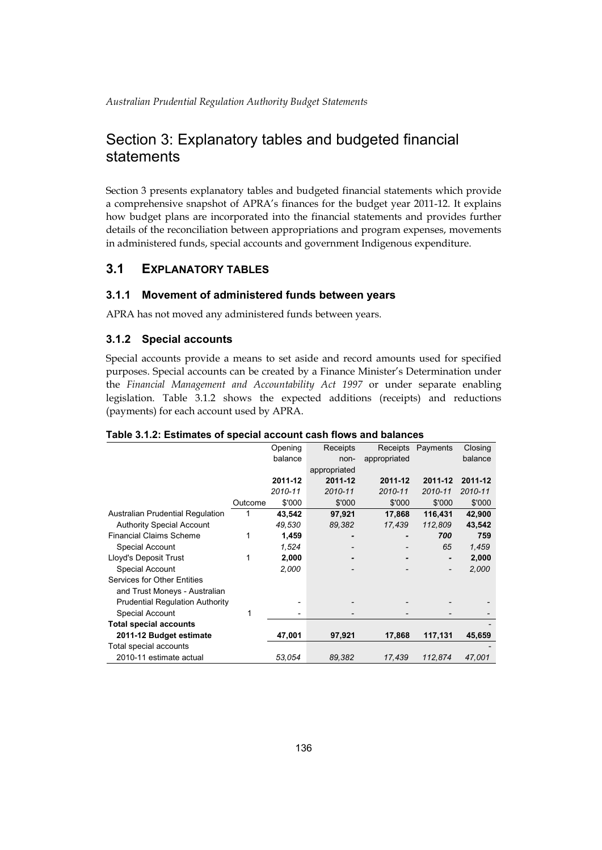## Section 3: Explanatory tables and budgeted financial statements

Section 3 presents explanatory tables and budgeted financial statements which provide a comprehensive snapshot of APRA's finances for the budget year 2011-12. It explains how budget plans are incorporated into the financial statements and provides further details of the reconciliation between appropriations and program expenses, movements in administered funds, special accounts and government Indigenous expenditure.

## **3.1 EXPLANATORY TABLES**

## **3.1.1 Movement of administered funds between years**

APRA has not moved any administered funds between years.

## **3.1.2 Special accounts**

Special accounts provide a means to set aside and record amounts used for specified purposes. Special accounts can be created by a Finance Minister's Determination under the *Financial Management and Accountability Act 1997* or under separate enabling legislation. Table 3.1.2 shows the expected additions (receipts) and reductions (payments) for each account used by APRA.

|                                        |         | Opening | Receipts     | Receipts     | Payments | Closing |
|----------------------------------------|---------|---------|--------------|--------------|----------|---------|
|                                        |         | balance | non-         | appropriated |          | balance |
|                                        |         |         | appropriated |              |          |         |
|                                        |         | 2011-12 | 2011-12      | 2011-12      | 2011-12  | 2011-12 |
|                                        |         | 2010-11 | 2010-11      | 2010-11      | 2010-11  | 2010-11 |
|                                        | Outcome | \$'000  | \$'000       | \$'000       | \$'000   | \$'000  |
| Australian Prudential Regulation       |         | 43,542  | 97,921       | 17,868       | 116,431  | 42,900  |
| <b>Authority Special Account</b>       |         | 49,530  | 89,382       | 17,439       | 112,809  | 43,542  |
| <b>Financial Claims Scheme</b>         | 1       | 1,459   |              |              | 700      | 759     |
| Special Account                        |         | 1,524   |              |              | 65       | 1,459   |
| Lloyd's Deposit Trust                  | 1       | 2,000   |              |              |          | 2,000   |
| Special Account                        |         | 2,000   |              |              | -        | 2,000   |
| Services for Other Entities            |         |         |              |              |          |         |
| and Trust Moneys - Australian          |         |         |              |              |          |         |
| <b>Prudential Regulation Authority</b> |         |         |              |              |          |         |
| Special Account                        | 1       |         |              |              |          |         |
| <b>Total special accounts</b>          |         |         |              |              |          |         |
| 2011-12 Budget estimate                |         | 47,001  | 97,921       | 17,868       | 117,131  | 45,659  |
| Total special accounts                 |         |         |              |              |          |         |
| 2010-11 estimate actual                |         | 53,054  | 89,382       | 17,439       | 112,874  | 47,001  |

#### **Table 3.1.2: Estimates of special account cash flows and balances**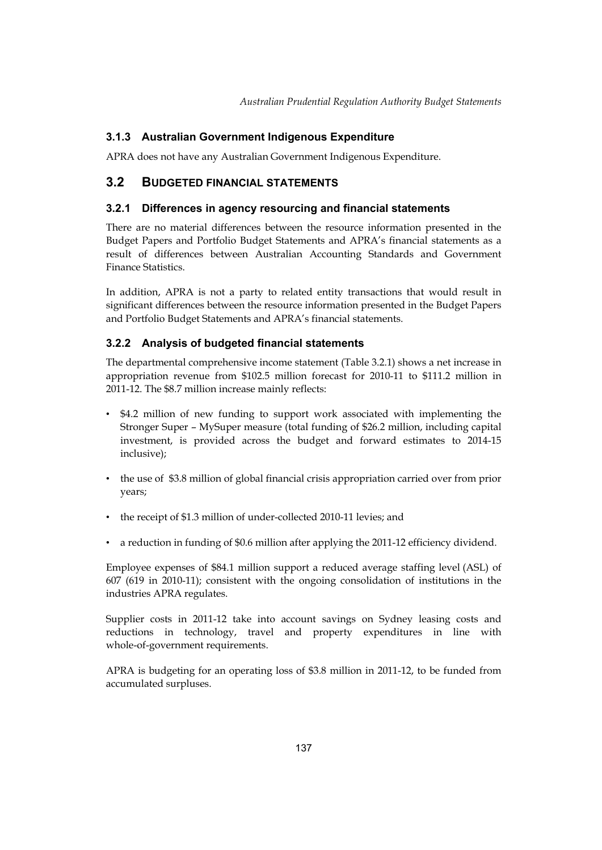## <span id="page-10-0"></span>**3.1.3 Australian Government Indigenous Expenditure**

APRA does not have any Australian Government Indigenous Expenditure.

## **3.2 BUDGETED FINANCIAL STATEMENTS**

## **3.2.1 Differences in agency resourcing and financial statements**

There are no material differences between the resource information presented in the Budget Papers and Portfolio Budget Statements and APRA's financial statements as a result of differences between Australian Accounting Standards and Government Finance Statistics.

In addition, APRA is not a party to related entity transactions that would result in significant differences between the resource information presented in the Budget Papers and Portfolio Budget Statements and APRA's financial statements.

## **3.2.2 Analysis of budgeted financial statements**

The departmental comprehensive income statement (Table 3.2.1) shows a net increase in appropriation revenue from \$102.5 million forecast for 2010-11 to \$111.2 million in 2011-12. The \$8.7 million increase mainly reflects:

- • \$4.2 million of new funding to support work associated with implementing the Stronger Super – MySuper measure (total funding of \$26.2 million, including capital investment, is provided across the budget and forward estimates to 2014-15 inclusive);
- the use of \$3.8 million of global financial crisis appropriation carried over from prior years;
- the receipt of \$1.3 million of under-collected 2010-11 levies; and
- a reduction in funding of \$0.6 million after applying the 2011-12 efficiency dividend.

Employee expenses of \$84.1 million support a reduced average staffing level (ASL) of 607 (619 in 2010-11); consistent with the ongoing consolidation of institutions in the industries APRA regulates.

Supplier costs in 2011-12 take into account savings on Sydney leasing costs and reductions in technology, travel and property expenditures in line with whole-of-government requirements.

APRA is budgeting for an operating loss of \$3.8 million in 2011-12, to be funded from accumulated surpluses.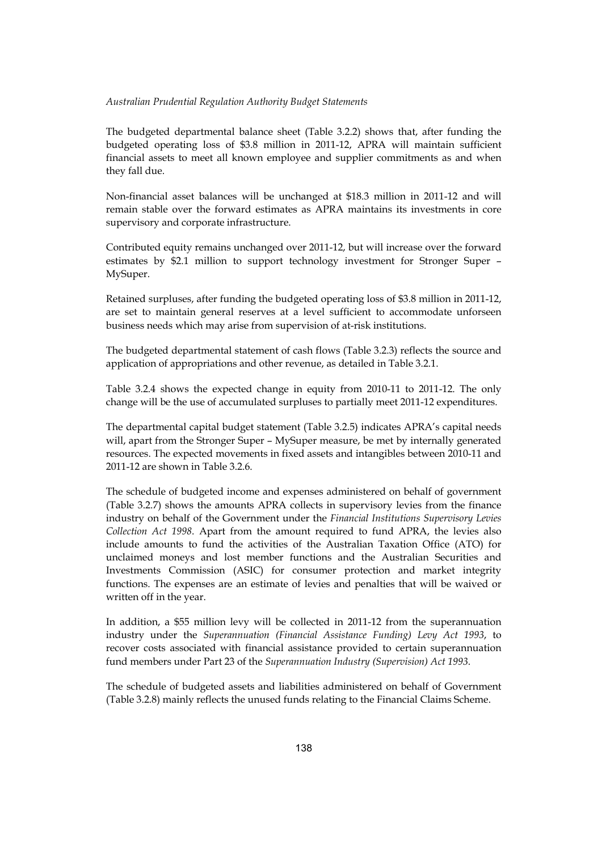#### *Australian Prudential Regulation Authority Budget Statements*

The budgeted departmental balance sheet (Table 3.2.2) shows that, after funding the budgeted operating loss of \$3.8 million in 2011-12, APRA will maintain sufficient financial assets to meet all known employee and supplier commitments as and when they fall due.

 Non-financial asset balances will be unchanged at \$18.3 million in 2011-12 and will remain stable over the forward estimates as APRA maintains its investments in core supervisory and corporate infrastructure.

Contributed equity remains unchanged over 2011-12, but will increase over the forward estimates by \$2.1 million to support technology investment for Stronger Super – MySuper.

Retained surpluses, after funding the budgeted operating loss of \$3.8 million in 2011-12, are set to maintain general reserves at a level sufficient to accommodate unforseen business needs which may arise from supervision of at-risk institutions.

The budgeted departmental statement of cash flows (Table 3.2.3) reflects the source and application of appropriations and other revenue, as detailed in Table 3.2.1.

Table 3.2.4 shows the expected change in equity from 2010-11 to 2011-12. The only change will be the use of accumulated surpluses to partially meet 2011-12 expenditures.

The departmental capital budget statement (Table 3.2.5) indicates APRA's capital needs will, apart from the Stronger Super – MySuper measure, be met by internally generated resources. The expected movements in fixed assets and intangibles between 2010-11 and 2011-12 are shown in Table 3.2.6.

 unclaimed moneys and lost member functions and the Australian Securities and written off in the year. The schedule of budgeted income and expenses administered on behalf of government (Table 3.2.7) shows the amounts APRA collects in supervisory levies from the finance industry on behalf of the Government under the *Financial Institutions Supervisory Levies Collection Act 1998*. Apart from the amount required to fund APRA, the levies also include amounts to fund the activities of the Australian Taxation Office (ATO) for Investments Commission (ASIC) for consumer protection and market integrity functions. The expenses are an estimate of levies and penalties that will be waived or

In addition, a \$55 million levy will be collected in 2011-12 from the superannuation industry under the *Superannuation (Financial Assistance Funding) Levy Act 1993*, to recover costs associated with financial assistance provided to certain superannuation fund members under Part 23 of the *Superannuation Industry (Supervision) Act 1993*.

The schedule of budgeted assets and liabilities administered on behalf of Government (Table 3.2.8) mainly reflects the unused funds relating to the Financial Claims Scheme.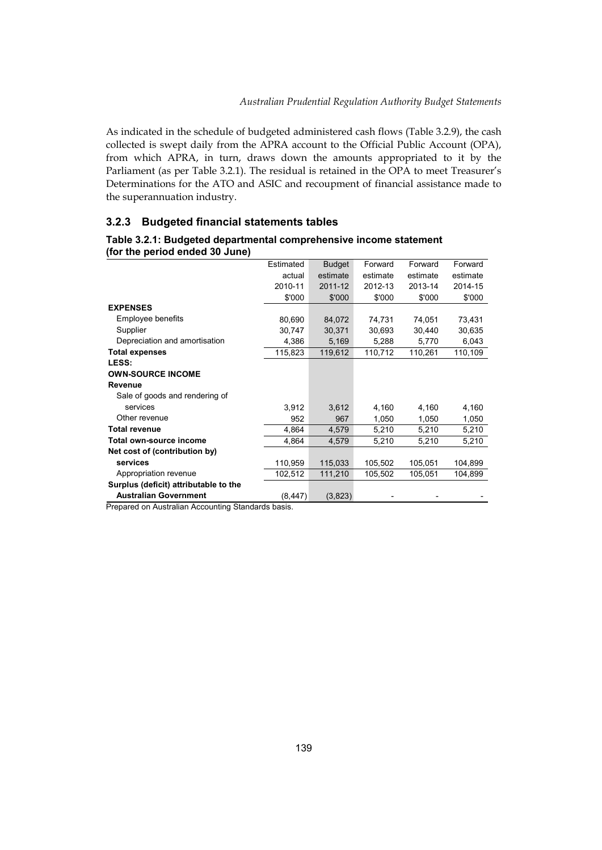As indicated in the schedule of budgeted administered cash flows (Table 3.2.9), the cash collected is swept daily from the APRA account to the Official Public Account (OPA), from which APRA, in turn, draws down the amounts appropriated to it by the Parliament (as per Table 3.2.1). The residual is retained in the OPA to meet Treasurer's Determinations for the ATO and ASIC and recoupment of financial assistance made to the superannuation industry.

## **3.2.3 Budgeted financial statements tables**

|                                | Table 3.2.1: Budgeted departmental comprehensive income statement |
|--------------------------------|-------------------------------------------------------------------|
| (for the period ended 30 June) |                                                                   |

| Estimated | <b>Budget</b> | Forward  | Forward  | Forward  |
|-----------|---------------|----------|----------|----------|
| actual    | estimate      | estimate | estimate | estimate |
| 2010-11   | 2011-12       | 2012-13  | 2013-14  | 2014-15  |
| \$'000    | \$'000        | \$'000   | \$'000   | \$'000   |
|           |               |          |          |          |
| 80,690    | 84,072        | 74,731   | 74,051   | 73,431   |
| 30,747    | 30,371        | 30,693   | 30,440   | 30,635   |
| 4,386     | 5,169         | 5,288    | 5,770    | 6,043    |
| 115,823   | 119,612       | 110,712  | 110,261  | 110,109  |
|           |               |          |          |          |
|           |               |          |          |          |
|           |               |          |          |          |
|           |               |          |          |          |
| 3,912     | 3,612         | 4,160    | 4,160    | 4,160    |
| 952       | 967           | 1,050    | 1,050    | 1,050    |
| 4,864     | 4,579         | 5,210    | 5,210    | 5,210    |
| 4,864     | 4,579         | 5,210    | 5,210    | 5,210    |
|           |               |          |          |          |
| 110,959   | 115,033       | 105,502  | 105,051  | 104,899  |
| 102,512   | 111,210       | 105,502  | 105,051  | 104,899  |
|           |               |          |          |          |
| (8, 447)  | (3,823)       |          |          |          |
|           |               |          |          |          |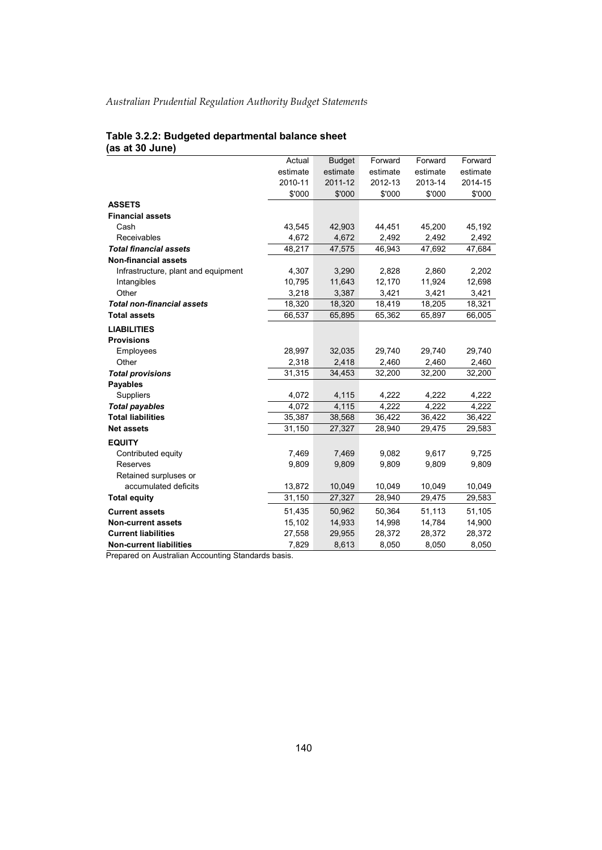#### **Table 3.2.2: Budgeted departmental balance sheet (as at 30 June)**

|                                     | Actual   | <b>Budget</b> | Forward  | Forward  | Forward  |
|-------------------------------------|----------|---------------|----------|----------|----------|
|                                     | estimate | estimate      | estimate | estimate | estimate |
|                                     | 2010-11  | 2011-12       | 2012-13  | 2013-14  | 2014-15  |
|                                     | \$'000   | \$'000        | \$'000   | \$'000   | \$'000   |
| <b>ASSETS</b>                       |          |               |          |          |          |
| <b>Financial assets</b>             |          |               |          |          |          |
| Cash                                | 43,545   | 42,903        | 44,451   | 45,200   | 45,192   |
| Receivables                         | 4,672    | 4,672         | 2,492    | 2,492    | 2,492    |
| <b>Total financial assets</b>       | 48,217   | 47,575        | 46,943   | 47,692   | 47,684   |
| <b>Non-financial assets</b>         |          |               |          |          |          |
| Infrastructure, plant and equipment | 4,307    | 3,290         | 2,828    | 2,860    | 2,202    |
| Intangibles                         | 10,795   | 11,643        | 12,170   | 11,924   | 12,698   |
| Other                               | 3,218    | 3,387         | 3,421    | 3,421    | 3,421    |
| <b>Total non-financial assets</b>   | 18,320   | 18,320        | 18,419   | 18,205   | 18,321   |
| <b>Total assets</b>                 | 66,537   | 65,895        | 65,362   | 65,897   | 66,005   |
| <b>LIABILITIES</b>                  |          |               |          |          |          |
| <b>Provisions</b>                   |          |               |          |          |          |
| Employees                           | 28,997   | 32,035        | 29,740   | 29,740   | 29,740   |
| Other                               | 2,318    | 2,418         | 2,460    | 2,460    | 2,460    |
| <b>Total provisions</b>             | 31,315   | 34,453        | 32,200   | 32,200   | 32,200   |
| <b>Payables</b>                     |          |               |          |          |          |
| <b>Suppliers</b>                    | 4,072    | 4,115         | 4,222    | 4,222    | 4,222    |
| <b>Total payables</b>               | 4,072    | 4,115         | 4,222    | 4,222    | 4,222    |
| <b>Total liabilities</b>            | 35,387   | 38,568        | 36,422   | 36,422   | 36,422   |
| <b>Net assets</b>                   | 31,150   | 27,327        | 28,940   | 29,475   | 29,583   |
| <b>EQUITY</b>                       |          |               |          |          |          |
| Contributed equity                  | 7,469    | 7,469         | 9,082    | 9,617    | 9,725    |
| Reserves                            | 9,809    | 9,809         | 9,809    | 9,809    | 9,809    |
| Retained surpluses or               |          |               |          |          |          |
| accumulated deficits                | 13,872   | 10,049        | 10,049   | 10,049   | 10,049   |
| <b>Total equity</b>                 | 31,150   | 27,327        | 28,940   | 29,475   | 29,583   |
| <b>Current assets</b>               | 51,435   | 50,962        | 50,364   | 51,113   | 51,105   |
| <b>Non-current assets</b>           | 15,102   | 14,933        | 14,998   | 14,784   | 14,900   |
| <b>Current liabilities</b>          | 27,558   | 29,955        | 28,372   | 28,372   | 28,372   |
| <b>Non-current liabilities</b>      | 7,829    | 8,613         | 8,050    | 8,050    | 8,050    |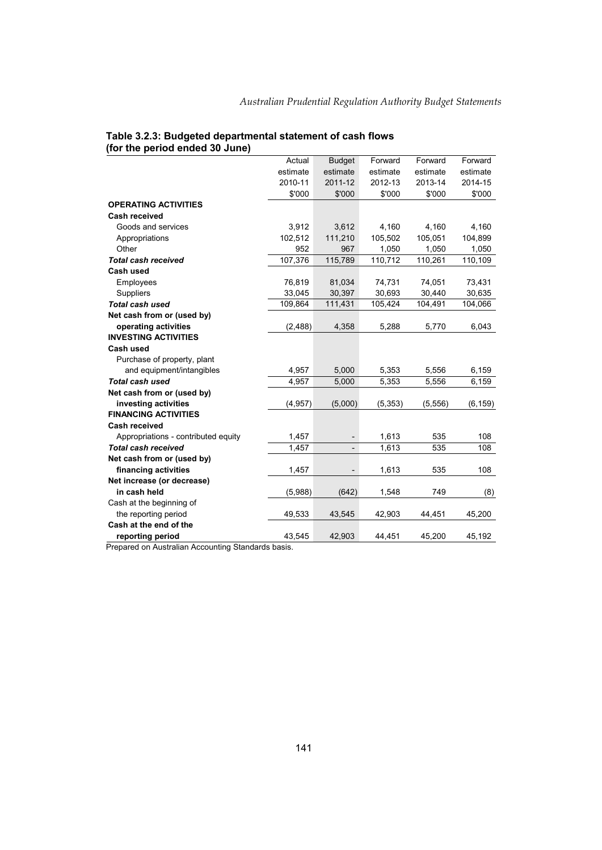| estimate<br>estimate<br>estimate<br>estimate<br>estimate<br>2010-11<br>2011-12<br>2012-13<br>2013-14<br>2014-15<br>\$'000<br>\$'000<br>\$'000<br>\$'000<br>\$'000<br><b>OPERATING ACTIVITIES</b><br>Cash received<br>Goods and services<br>3,912<br>3,612<br>4,160<br>4,160<br>4,160<br>102,512<br>111,210<br>105.502<br>Appropriations<br>105,051<br>104,899<br>952<br>967<br>1,050<br>Other<br>1,050<br>1,050<br>107,376<br><b>Total cash received</b><br>115,789<br>110,712<br>110,261<br>110,109<br><b>Cash used</b><br>76,819<br>81,034<br>74,731<br>73,431<br>Employees<br>74,051<br>Suppliers<br>33,045<br>30,397<br>30,693<br>30,440<br>30,635<br><b>Total cash used</b><br>111,431<br>105,424<br>104,491<br>104,066<br>109,864<br>Net cash from or (used by)<br>operating activities<br>(2, 488)<br>4,358<br>5,288<br>6,043<br>5,770<br><b>INVESTING ACTIVITIES</b><br><b>Cash used</b><br>Purchase of property, plant<br>and equipment/intangibles<br>5,000<br>5,353<br>4,957<br>5,556<br>6,159<br><b>Total cash used</b><br>4,957<br>5,000<br>5,353<br>5,556<br>6,159<br>Net cash from or (used by)<br>investing activities<br>(4, 957)<br>(5,000)<br>(5, 353)<br>(5, 556)<br>(6, 159)<br><b>FINANCING ACTIVITIES</b><br><b>Cash received</b><br>1,457<br>1,613<br>535<br>108<br>Appropriations - contributed equity<br><b>Total cash received</b><br>1,457<br>535<br>1,613<br>108<br>$\overline{\phantom{0}}$<br>Net cash from or (used by)<br>financing activities<br>1,457<br>1,613<br>535<br>108<br>$\overline{\phantom{a}}$<br>Net increase (or decrease)<br>in cash held<br>(5,988)<br>(642)<br>1,548<br>749<br>(8)<br>Cash at the beginning of<br>the reporting period<br>49,533<br>43,545<br>45,200<br>42,903<br>44,451<br>Cash at the end of the<br>reporting period<br>43,545<br>42,903<br>44,451<br>45,200<br>45,192 | Actual | <b>Budget</b> | Forward | Forward | Forward |
|--------------------------------------------------------------------------------------------------------------------------------------------------------------------------------------------------------------------------------------------------------------------------------------------------------------------------------------------------------------------------------------------------------------------------------------------------------------------------------------------------------------------------------------------------------------------------------------------------------------------------------------------------------------------------------------------------------------------------------------------------------------------------------------------------------------------------------------------------------------------------------------------------------------------------------------------------------------------------------------------------------------------------------------------------------------------------------------------------------------------------------------------------------------------------------------------------------------------------------------------------------------------------------------------------------------------------------------------------------------------------------------------------------------------------------------------------------------------------------------------------------------------------------------------------------------------------------------------------------------------------------------------------------------------------------------------------------------------------------------------------------------------------------------------------------------------------------------------|--------|---------------|---------|---------|---------|
|                                                                                                                                                                                                                                                                                                                                                                                                                                                                                                                                                                                                                                                                                                                                                                                                                                                                                                                                                                                                                                                                                                                                                                                                                                                                                                                                                                                                                                                                                                                                                                                                                                                                                                                                                                                                                                            |        |               |         |         |         |
|                                                                                                                                                                                                                                                                                                                                                                                                                                                                                                                                                                                                                                                                                                                                                                                                                                                                                                                                                                                                                                                                                                                                                                                                                                                                                                                                                                                                                                                                                                                                                                                                                                                                                                                                                                                                                                            |        |               |         |         |         |
|                                                                                                                                                                                                                                                                                                                                                                                                                                                                                                                                                                                                                                                                                                                                                                                                                                                                                                                                                                                                                                                                                                                                                                                                                                                                                                                                                                                                                                                                                                                                                                                                                                                                                                                                                                                                                                            |        |               |         |         |         |
|                                                                                                                                                                                                                                                                                                                                                                                                                                                                                                                                                                                                                                                                                                                                                                                                                                                                                                                                                                                                                                                                                                                                                                                                                                                                                                                                                                                                                                                                                                                                                                                                                                                                                                                                                                                                                                            |        |               |         |         |         |
|                                                                                                                                                                                                                                                                                                                                                                                                                                                                                                                                                                                                                                                                                                                                                                                                                                                                                                                                                                                                                                                                                                                                                                                                                                                                                                                                                                                                                                                                                                                                                                                                                                                                                                                                                                                                                                            |        |               |         |         |         |
|                                                                                                                                                                                                                                                                                                                                                                                                                                                                                                                                                                                                                                                                                                                                                                                                                                                                                                                                                                                                                                                                                                                                                                                                                                                                                                                                                                                                                                                                                                                                                                                                                                                                                                                                                                                                                                            |        |               |         |         |         |
|                                                                                                                                                                                                                                                                                                                                                                                                                                                                                                                                                                                                                                                                                                                                                                                                                                                                                                                                                                                                                                                                                                                                                                                                                                                                                                                                                                                                                                                                                                                                                                                                                                                                                                                                                                                                                                            |        |               |         |         |         |
|                                                                                                                                                                                                                                                                                                                                                                                                                                                                                                                                                                                                                                                                                                                                                                                                                                                                                                                                                                                                                                                                                                                                                                                                                                                                                                                                                                                                                                                                                                                                                                                                                                                                                                                                                                                                                                            |        |               |         |         |         |
|                                                                                                                                                                                                                                                                                                                                                                                                                                                                                                                                                                                                                                                                                                                                                                                                                                                                                                                                                                                                                                                                                                                                                                                                                                                                                                                                                                                                                                                                                                                                                                                                                                                                                                                                                                                                                                            |        |               |         |         |         |
|                                                                                                                                                                                                                                                                                                                                                                                                                                                                                                                                                                                                                                                                                                                                                                                                                                                                                                                                                                                                                                                                                                                                                                                                                                                                                                                                                                                                                                                                                                                                                                                                                                                                                                                                                                                                                                            |        |               |         |         |         |
|                                                                                                                                                                                                                                                                                                                                                                                                                                                                                                                                                                                                                                                                                                                                                                                                                                                                                                                                                                                                                                                                                                                                                                                                                                                                                                                                                                                                                                                                                                                                                                                                                                                                                                                                                                                                                                            |        |               |         |         |         |
|                                                                                                                                                                                                                                                                                                                                                                                                                                                                                                                                                                                                                                                                                                                                                                                                                                                                                                                                                                                                                                                                                                                                                                                                                                                                                                                                                                                                                                                                                                                                                                                                                                                                                                                                                                                                                                            |        |               |         |         |         |
|                                                                                                                                                                                                                                                                                                                                                                                                                                                                                                                                                                                                                                                                                                                                                                                                                                                                                                                                                                                                                                                                                                                                                                                                                                                                                                                                                                                                                                                                                                                                                                                                                                                                                                                                                                                                                                            |        |               |         |         |         |
|                                                                                                                                                                                                                                                                                                                                                                                                                                                                                                                                                                                                                                                                                                                                                                                                                                                                                                                                                                                                                                                                                                                                                                                                                                                                                                                                                                                                                                                                                                                                                                                                                                                                                                                                                                                                                                            |        |               |         |         |         |
|                                                                                                                                                                                                                                                                                                                                                                                                                                                                                                                                                                                                                                                                                                                                                                                                                                                                                                                                                                                                                                                                                                                                                                                                                                                                                                                                                                                                                                                                                                                                                                                                                                                                                                                                                                                                                                            |        |               |         |         |         |
|                                                                                                                                                                                                                                                                                                                                                                                                                                                                                                                                                                                                                                                                                                                                                                                                                                                                                                                                                                                                                                                                                                                                                                                                                                                                                                                                                                                                                                                                                                                                                                                                                                                                                                                                                                                                                                            |        |               |         |         |         |
|                                                                                                                                                                                                                                                                                                                                                                                                                                                                                                                                                                                                                                                                                                                                                                                                                                                                                                                                                                                                                                                                                                                                                                                                                                                                                                                                                                                                                                                                                                                                                                                                                                                                                                                                                                                                                                            |        |               |         |         |         |
|                                                                                                                                                                                                                                                                                                                                                                                                                                                                                                                                                                                                                                                                                                                                                                                                                                                                                                                                                                                                                                                                                                                                                                                                                                                                                                                                                                                                                                                                                                                                                                                                                                                                                                                                                                                                                                            |        |               |         |         |         |
|                                                                                                                                                                                                                                                                                                                                                                                                                                                                                                                                                                                                                                                                                                                                                                                                                                                                                                                                                                                                                                                                                                                                                                                                                                                                                                                                                                                                                                                                                                                                                                                                                                                                                                                                                                                                                                            |        |               |         |         |         |
|                                                                                                                                                                                                                                                                                                                                                                                                                                                                                                                                                                                                                                                                                                                                                                                                                                                                                                                                                                                                                                                                                                                                                                                                                                                                                                                                                                                                                                                                                                                                                                                                                                                                                                                                                                                                                                            |        |               |         |         |         |
|                                                                                                                                                                                                                                                                                                                                                                                                                                                                                                                                                                                                                                                                                                                                                                                                                                                                                                                                                                                                                                                                                                                                                                                                                                                                                                                                                                                                                                                                                                                                                                                                                                                                                                                                                                                                                                            |        |               |         |         |         |
|                                                                                                                                                                                                                                                                                                                                                                                                                                                                                                                                                                                                                                                                                                                                                                                                                                                                                                                                                                                                                                                                                                                                                                                                                                                                                                                                                                                                                                                                                                                                                                                                                                                                                                                                                                                                                                            |        |               |         |         |         |
|                                                                                                                                                                                                                                                                                                                                                                                                                                                                                                                                                                                                                                                                                                                                                                                                                                                                                                                                                                                                                                                                                                                                                                                                                                                                                                                                                                                                                                                                                                                                                                                                                                                                                                                                                                                                                                            |        |               |         |         |         |
|                                                                                                                                                                                                                                                                                                                                                                                                                                                                                                                                                                                                                                                                                                                                                                                                                                                                                                                                                                                                                                                                                                                                                                                                                                                                                                                                                                                                                                                                                                                                                                                                                                                                                                                                                                                                                                            |        |               |         |         |         |
|                                                                                                                                                                                                                                                                                                                                                                                                                                                                                                                                                                                                                                                                                                                                                                                                                                                                                                                                                                                                                                                                                                                                                                                                                                                                                                                                                                                                                                                                                                                                                                                                                                                                                                                                                                                                                                            |        |               |         |         |         |
|                                                                                                                                                                                                                                                                                                                                                                                                                                                                                                                                                                                                                                                                                                                                                                                                                                                                                                                                                                                                                                                                                                                                                                                                                                                                                                                                                                                                                                                                                                                                                                                                                                                                                                                                                                                                                                            |        |               |         |         |         |
|                                                                                                                                                                                                                                                                                                                                                                                                                                                                                                                                                                                                                                                                                                                                                                                                                                                                                                                                                                                                                                                                                                                                                                                                                                                                                                                                                                                                                                                                                                                                                                                                                                                                                                                                                                                                                                            |        |               |         |         |         |
|                                                                                                                                                                                                                                                                                                                                                                                                                                                                                                                                                                                                                                                                                                                                                                                                                                                                                                                                                                                                                                                                                                                                                                                                                                                                                                                                                                                                                                                                                                                                                                                                                                                                                                                                                                                                                                            |        |               |         |         |         |
|                                                                                                                                                                                                                                                                                                                                                                                                                                                                                                                                                                                                                                                                                                                                                                                                                                                                                                                                                                                                                                                                                                                                                                                                                                                                                                                                                                                                                                                                                                                                                                                                                                                                                                                                                                                                                                            |        |               |         |         |         |
|                                                                                                                                                                                                                                                                                                                                                                                                                                                                                                                                                                                                                                                                                                                                                                                                                                                                                                                                                                                                                                                                                                                                                                                                                                                                                                                                                                                                                                                                                                                                                                                                                                                                                                                                                                                                                                            |        |               |         |         |         |
|                                                                                                                                                                                                                                                                                                                                                                                                                                                                                                                                                                                                                                                                                                                                                                                                                                                                                                                                                                                                                                                                                                                                                                                                                                                                                                                                                                                                                                                                                                                                                                                                                                                                                                                                                                                                                                            |        |               |         |         |         |
|                                                                                                                                                                                                                                                                                                                                                                                                                                                                                                                                                                                                                                                                                                                                                                                                                                                                                                                                                                                                                                                                                                                                                                                                                                                                                                                                                                                                                                                                                                                                                                                                                                                                                                                                                                                                                                            |        |               |         |         |         |
|                                                                                                                                                                                                                                                                                                                                                                                                                                                                                                                                                                                                                                                                                                                                                                                                                                                                                                                                                                                                                                                                                                                                                                                                                                                                                                                                                                                                                                                                                                                                                                                                                                                                                                                                                                                                                                            |        |               |         |         |         |
|                                                                                                                                                                                                                                                                                                                                                                                                                                                                                                                                                                                                                                                                                                                                                                                                                                                                                                                                                                                                                                                                                                                                                                                                                                                                                                                                                                                                                                                                                                                                                                                                                                                                                                                                                                                                                                            |        |               |         |         |         |

# **Table 3.2.3: Budgeted departmental statement of cash flows (for the period ended 30 June)**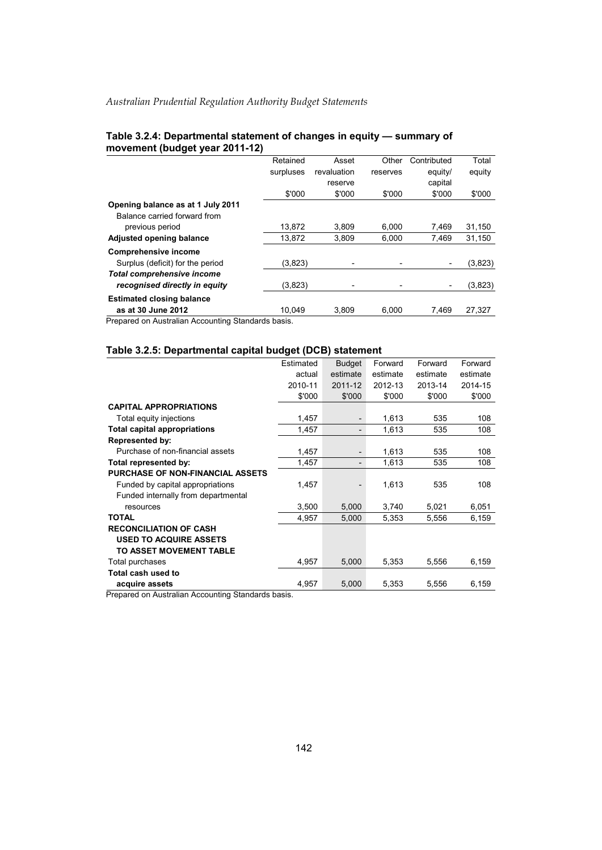|                                                   | Retained  | Asset       | Other    | Contributed | Total   |
|---------------------------------------------------|-----------|-------------|----------|-------------|---------|
|                                                   |           |             |          |             |         |
|                                                   | surpluses | revaluation | reserves | equity/     | equity  |
|                                                   |           | reserve     |          | capital     |         |
|                                                   | \$'000    | \$'000      | \$'000   | \$'000      | \$'000  |
| Opening balance as at 1 July 2011                 |           |             |          |             |         |
| Balance carried forward from                      |           |             |          |             |         |
| previous period                                   | 13.872    | 3,809       | 6.000    | 7.469       | 31,150  |
| Adjusted opening balance                          | 13.872    | 3.809       | 6.000    | 7.469       | 31.150  |
| <b>Comprehensive income</b>                       |           |             |          |             |         |
| Surplus (deficit) for the period                  | (3,823)   |             |          |             | (3,823) |
| <b>Total comprehensive income</b>                 |           |             |          |             |         |
| recognised directly in equity                     | (3,823)   |             |          |             | (3,823) |
| <b>Estimated closing balance</b>                  |           |             |          |             |         |
| as at 30 June 2012                                | 10.049    | 3.809       | 6.000    | 7.469       | 27,327  |
| Drapared on Australian Assounting Ctanderda boois |           |             |          |             |         |

#### **Table 3.2.4: Departmental statement of changes in equity — summary of movement (budget year 2011-12)**

Prepared on Australian Accounting Standards basis.

#### **Table 3.2.5: Departmental capital budget (DCB) statement**

|                                         | Estimated | <b>Budget</b> | Forward  | Forward  | Forward  |
|-----------------------------------------|-----------|---------------|----------|----------|----------|
|                                         | actual    | estimate      | estimate | estimate | estimate |
|                                         | 2010-11   | 2011-12       | 2012-13  | 2013-14  | 2014-15  |
|                                         | \$'000    | \$'000        | \$'000   | \$'000   | \$'000   |
| <b>CAPITAL APPROPRIATIONS</b>           |           |               |          |          |          |
| Total equity injections                 | 1,457     |               | 1,613    | 535      | 108      |
| <b>Total capital appropriations</b>     | 1,457     |               | 1,613    | 535      | 108      |
| <b>Represented by:</b>                  |           |               |          |          |          |
| Purchase of non-financial assets        | 1,457     |               | 1,613    | 535      | 108      |
| Total represented by:                   | 1,457     |               | 1,613    | 535      | 108      |
| <b>PURCHASE OF NON-FINANCIAL ASSETS</b> |           |               |          |          |          |
| Funded by capital appropriations        | 1,457     |               | 1,613    | 535      | 108      |
| Funded internally from departmental     |           |               |          |          |          |
| resources                               | 3,500     | 5,000         | 3,740    | 5,021    | 6,051    |
| <b>TOTAL</b>                            | 4,957     | 5,000         | 5,353    | 5,556    | 6,159    |
| <b>RECONCILIATION OF CASH</b>           |           |               |          |          |          |
| <b>USED TO ACQUIRE ASSETS</b>           |           |               |          |          |          |
| TO ASSET MOVEMENT TABLE                 |           |               |          |          |          |
| Total purchases                         | 4,957     | 5,000         | 5,353    | 5,556    | 6,159    |
| Total cash used to                      |           |               |          |          |          |
| acquire assets                          | 4,957     | 5,000         | 5,353    | 5,556    | 6,159    |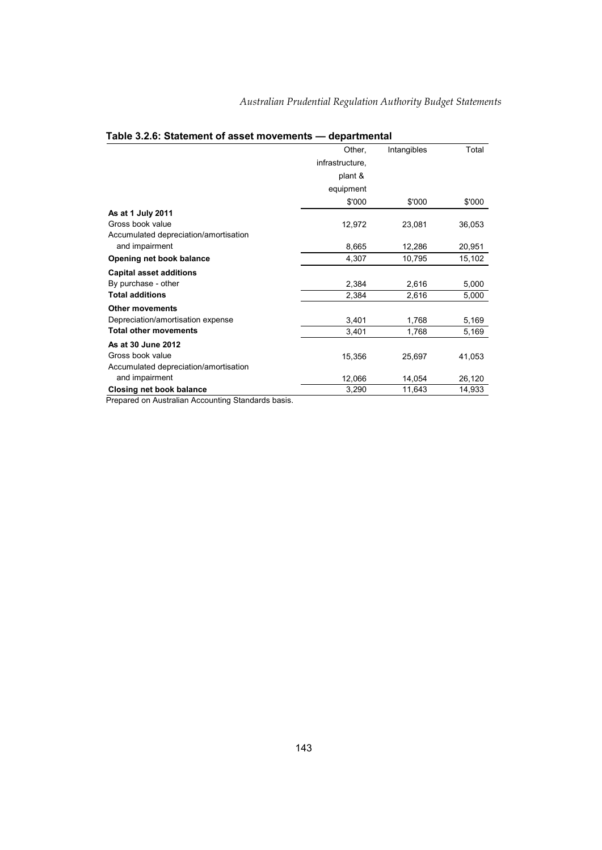|                                       | Other,          | Intangibles | Total  |
|---------------------------------------|-----------------|-------------|--------|
|                                       | infrastructure, |             |        |
|                                       | plant &         |             |        |
|                                       | equipment       |             |        |
|                                       | \$'000          | \$'000      | \$'000 |
| As at 1 July 2011                     |                 |             |        |
| Gross book value                      | 12,972          | 23,081      | 36,053 |
| Accumulated depreciation/amortisation |                 |             |        |
| and impairment                        | 8,665           | 12,286      | 20,951 |
| Opening net book balance              | 4,307           | 10,795      | 15,102 |
| <b>Capital asset additions</b>        |                 |             |        |
| By purchase - other                   | 2,384           | 2,616       | 5,000  |
| <b>Total additions</b>                | 2,384           | 2,616       | 5,000  |
| <b>Other movements</b>                |                 |             |        |
| Depreciation/amortisation expense     | 3,401           | 1,768       | 5,169  |
| <b>Total other movements</b>          | 3,401           | 1,768       | 5,169  |
| As at 30 June 2012                    |                 |             |        |
| Gross book value                      | 15,356          | 25,697      | 41,053 |
| Accumulated depreciation/amortisation |                 |             |        |
| and impairment                        | 12,066          | 14,054      | 26,120 |
| <b>Closing net book balance</b>       | 3,290           | 11,643      | 14,933 |

## **Table 3.2.6: Statement of asset movements — departmental**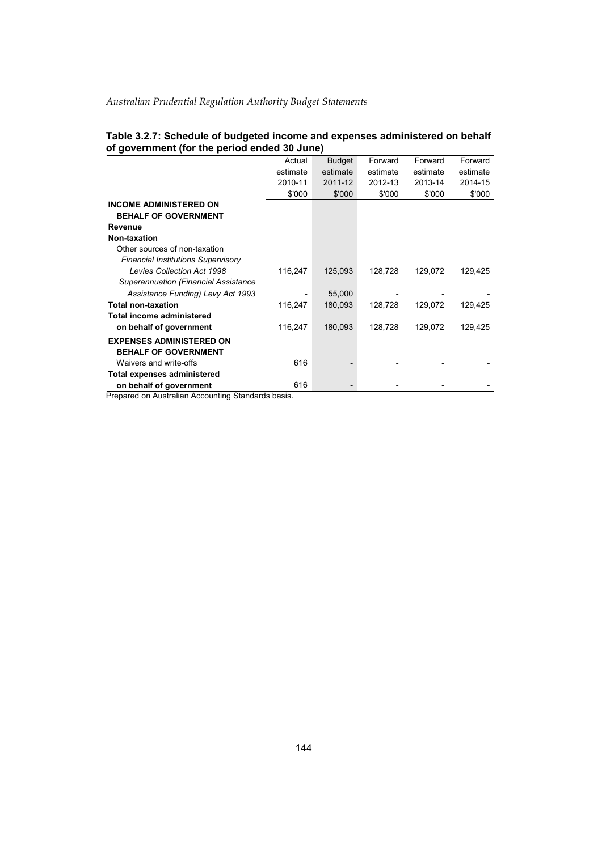| Table 3.2.7: Schedule of budgeted income and expenses administered on behalf |  |
|------------------------------------------------------------------------------|--|
| of government (for the period ended 30 June)                                 |  |

|                                             | Actual   | <b>Budget</b> | Forward  | Forward  | Forward  |
|---------------------------------------------|----------|---------------|----------|----------|----------|
|                                             | estimate | estimate      | estimate | estimate | estimate |
|                                             | 2010-11  | 2011-12       | 2012-13  | 2013-14  | 2014-15  |
|                                             | \$'000   | \$'000        | \$'000   | \$'000   | \$'000   |
| <b>INCOME ADMINISTERED ON</b>               |          |               |          |          |          |
| <b>BEHALF OF GOVERNMENT</b>                 |          |               |          |          |          |
| Revenue                                     |          |               |          |          |          |
| Non-taxation                                |          |               |          |          |          |
| Other sources of non-taxation               |          |               |          |          |          |
| <b>Financial Institutions Supervisory</b>   |          |               |          |          |          |
| <b>Levies Collection Act 1998</b>           | 116,247  | 125,093       | 128,728  | 129,072  | 129,425  |
| <b>Superannuation (Financial Assistance</b> |          |               |          |          |          |
| Assistance Funding) Levy Act 1993           |          | 55,000        |          |          |          |
| <b>Total non-taxation</b>                   | 116,247  | 180,093       | 128,728  | 129,072  | 129,425  |
| Total income administered                   |          |               |          |          |          |
| on behalf of government                     | 116,247  | 180,093       | 128,728  | 129,072  | 129,425  |
| <b>EXPENSES ADMINISTERED ON</b>             |          |               |          |          |          |
| <b>BEHALF OF GOVERNMENT</b>                 |          |               |          |          |          |
| Waivers and write-offs                      | 616      |               |          |          |          |
| <b>Total expenses administered</b>          |          |               |          |          |          |
| on behalf of government                     | 616      |               |          |          |          |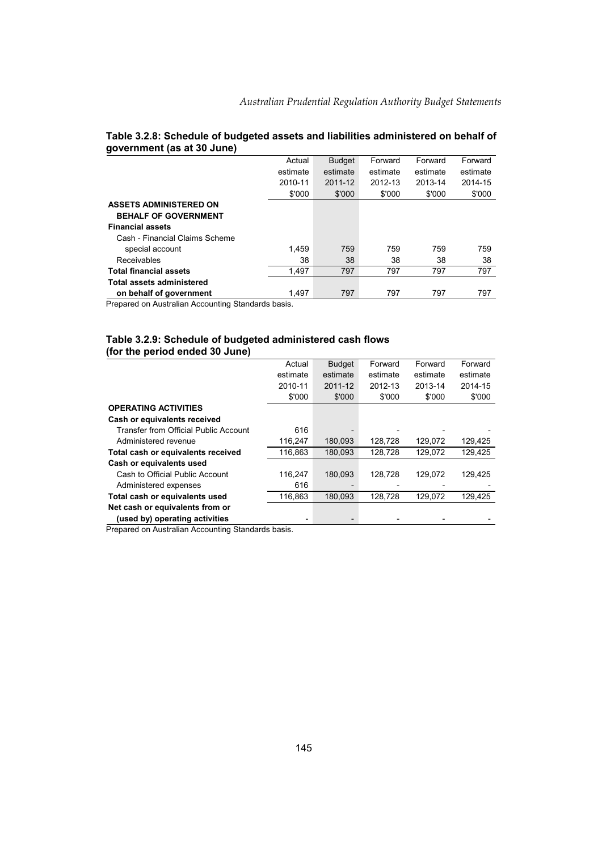|                                  | Actual   | <b>Budget</b> | Forward  | Forward  | Forward  |
|----------------------------------|----------|---------------|----------|----------|----------|
|                                  | estimate | estimate      | estimate | estimate | estimate |
|                                  | 2010-11  | 2011-12       | 2012-13  | 2013-14  | 2014-15  |
|                                  | \$'000   | \$'000        | \$'000   | \$'000   | \$'000   |
| <b>ASSETS ADMINISTERED ON</b>    |          |               |          |          |          |
| <b>BEHALF OF GOVERNMENT</b>      |          |               |          |          |          |
| <b>Financial assets</b>          |          |               |          |          |          |
| Cash - Financial Claims Scheme   |          |               |          |          |          |
| special account                  | 1.459    | 759           | 759      | 759      | 759      |
| Receivables                      | 38       | 38            | 38       | 38       | 38       |
| <b>Total financial assets</b>    | 1.497    | 797           | 797      | 797      | 797      |
| <b>Total assets administered</b> |          |               |          |          |          |
| on behalf of government          | 1.497    | 797           | 797      | 797      | 797      |

#### **Table 3.2.8: Schedule of budgeted assets and liabilities administered on behalf of government (as at 30 June)**

Prepared on Australian Accounting Standards basis.

#### **Table 3.2.9: Schedule of budgeted administered cash flows (for the period ended 30 June)**

|                                       | Actual   | <b>Budget</b> | Forward  | Forward  | Forward  |
|---------------------------------------|----------|---------------|----------|----------|----------|
|                                       | estimate | estimate      | estimate | estimate | estimate |
|                                       | 2010-11  | 2011-12       | 2012-13  | 2013-14  | 2014-15  |
|                                       | \$'000   | \$'000        | \$'000   | \$'000   | \$'000   |
| <b>OPERATING ACTIVITIES</b>           |          |               |          |          |          |
| Cash or equivalents received          |          |               |          |          |          |
| Transfer from Official Public Account | 616      |               |          |          |          |
| Administered revenue                  | 116,247  | 180.093       | 128.728  | 129,072  | 129,425  |
| Total cash or equivalents received    | 116,863  | 180,093       | 128.728  | 129,072  | 129,425  |
| Cash or equivalents used              |          |               |          |          |          |
| Cash to Official Public Account       | 116,247  | 180,093       | 128,728  | 129,072  | 129,425  |
| Administered expenses                 | 616      |               |          |          |          |
| Total cash or equivalents used        | 116,863  | 180,093       | 128,728  | 129,072  | 129,425  |
| Net cash or equivalents from or       |          |               |          |          |          |
| (used by) operating activities        |          |               |          |          |          |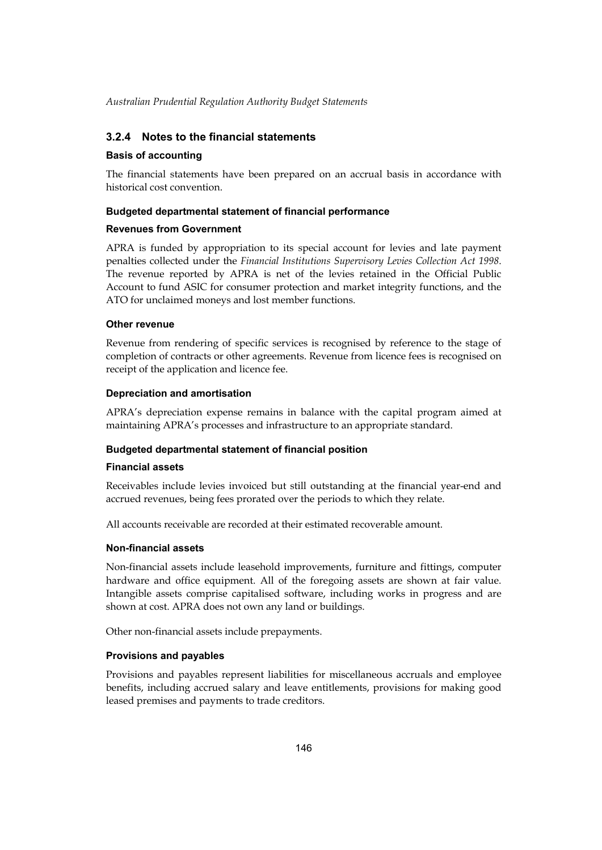## **3.2.4 Notes to the financial statements**

#### **Basis of accounting**

The financial statements have been prepared on an accrual basis in accordance with historical cost convention.

#### **Budgeted departmental statement of financial performance**

#### **Revenues from Government**

 APRA is funded by appropriation to its special account for levies and late payment penalties collected under the *Financial Institutions Supervisory Levies Collection Act 1998*. The revenue reported by APRA is net of the levies retained in the Official Public Account to fund ASIC for consumer protection and market integrity functions, and the ATO for unclaimed moneys and lost member functions.

#### **Other revenue**

Revenue from rendering of specific services is recognised by reference to the stage of completion of contracts or other agreements. Revenue from licence fees is recognised on receipt of the application and licence fee.

#### **Depreciation and amortisation**

APRA's depreciation expense remains in balance with the capital program aimed at maintaining APRA's processes and infrastructure to an appropriate standard.

## **Budgeted departmental statement of financial position**

#### **Financial assets**

Receivables include levies invoiced but still outstanding at the financial year-end and accrued revenues, being fees prorated over the periods to which they relate.

All accounts receivable are recorded at their estimated recoverable amount.

#### **Non-financial assets**

Non-financial assets include leasehold improvements, furniture and fittings, computer hardware and office equipment. All of the foregoing assets are shown at fair value. Intangible assets comprise capitalised software, including works in progress and are shown at cost. APRA does not own any land or buildings.

Other non-financial assets include prepayments.

## **Provisions and payables**

Provisions and payables represent liabilities for miscellaneous accruals and employee benefits, including accrued salary and leave entitlements, provisions for making good leased premises and payments to trade creditors.